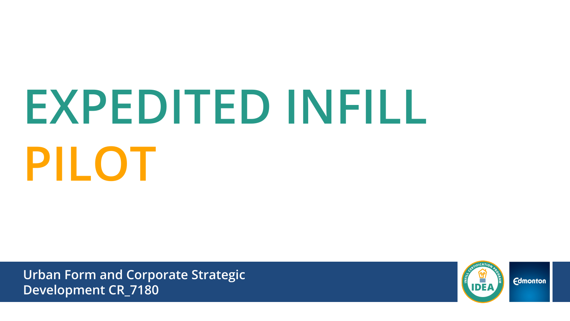# **EXPEDITED INFILL PILOT**

**Urban Form and Corporate Strategic Development CR\_7180**



**Edmonton**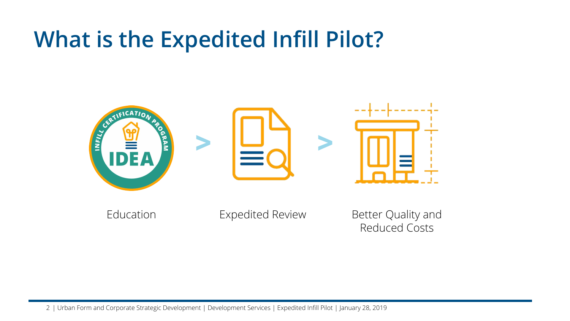## **What is the Expedited Infill Pilot?**



Education **Expedited Review** Better Quality and

Reduced Costs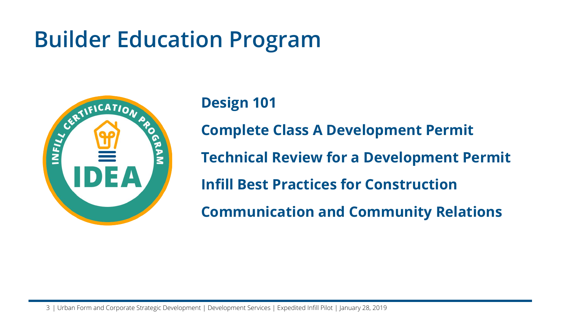# **Builder Education Program**



#### **Design 101**

**Complete Class A Development Permit**

**Technical Review for a Development Permit**

**Infill Best Practices for Construction**

**Communication and Community Relations**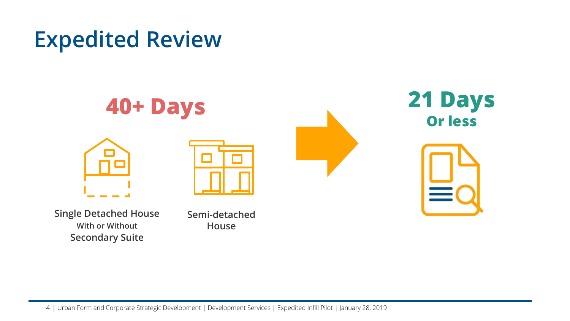## **Expedited Review**



**Single Detached House With or Without Secondary Suite**

**Semi-detached House**

4 | Urban Form and Corporate Strategic Development | Development Services | Expedited Infill Pilot | January 28, 2019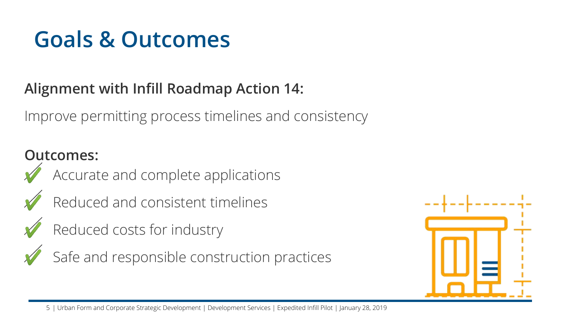# **Goals & Outcomes**

#### **Alignment with Infill Roadmap Action 14:**

Improve permitting process timelines and consistency

#### **Outcomes:**





Reduced and consistent timelines

Reduced costs for industry



Safe and responsible construction practices



5 | Urban Form and Corporate Strategic Development | Development Services | Expedited Infill Pilot | January 28, 2019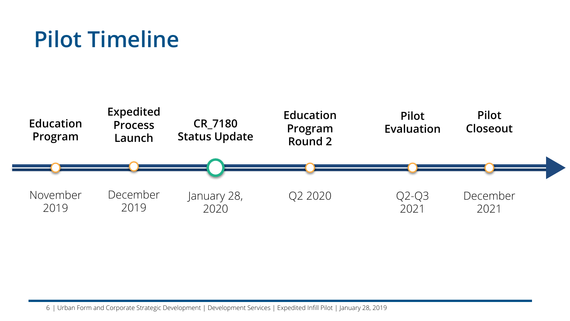# **Pilot Timeline**